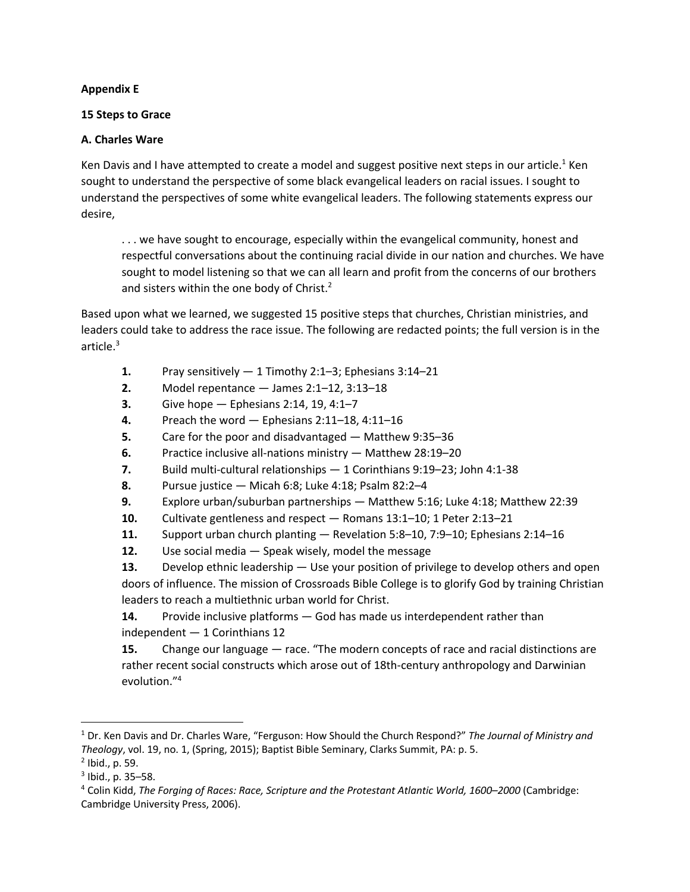## **Appendix E**

## **15 Steps to Grace**

## **A. Charles Ware**

Ken Davis and I have attempted to create a model and suggest positive next steps in our article.<sup>1</sup> Ken sought to understand the perspective of some black evangelical leaders on racial issues. I sought to understand the perspectives of some white evangelical leaders. The following statements express our desire,

. . . we have sought to encourage, especially within the evangelical community, honest and respectful conversations about the continuing racial divide in our nation and churches. We have sought to model listening so that we can all learn and profit from the concerns of our brothers and sisters within the one body of Christ.<sup>2</sup>

Based upon what we learned, we suggested 15 positive steps that churches, Christian ministries, and leaders could take to address the race issue. The following are redacted points; the full version is in the article.<sup>3</sup>

- **1.** Pray sensitively 1 Timothy 2:1–3; Ephesians 3:14–21
- **2.** Model repentance James 2:1–12, 3:13–18
- **3.** Give hope Ephesians 2:14, 19, 4:1–7
- **4.** Preach the word Ephesians 2:11–18, 4:11–16
- **5.** Care for the poor and disadvantaged Matthew 9:35–36
- **6.** Practice inclusive all-nations ministry Matthew 28:19–20
- **7.** Build multi-cultural relationships 1 Corinthians 9:19–23; John 4:1-38
- **8.** Pursue justice Micah 6:8; Luke 4:18; Psalm 82:2–4
- **9.** Explore urban/suburban partnerships Matthew 5:16; Luke 4:18; Matthew 22:39
- **10.** Cultivate gentleness and respect Romans 13:1–10; 1 Peter 2:13–21
- **11.** Support urban church planting Revelation 5:8–10, 7:9–10; Ephesians 2:14–16
- **12.** Use social media Speak wisely, model the message

**13.** Develop ethnic leadership — Use your position of privilege to develop others and open doors of influence. The mission of Crossroads Bible College is to glorify God by training Christian leaders to reach a multiethnic urban world for Christ.

**14.** Provide inclusive platforms — God has made us interdependent rather than independent — 1 Corinthians 12

**15.** Change our language — race. "The modern concepts of race and racial distinctions are rather recent social constructs which arose out of 18th-century anthropology and Darwinian evolution."4

<sup>1</sup> Dr. Ken Davis and Dr. Charles Ware, "Ferguson: How Should the Church Respond?" *The Journal of Ministry and Theology*, vol. 19, no. 1, (Spring, 2015); Baptist Bible Seminary, Clarks Summit, PA: p. 5.

 $<sup>2</sup>$  Ibid., p. 59.</sup>

 $3$  Ibid., p. 35–58.

<sup>4</sup> Colin Kidd, *The Forging of Races: Race, Scripture and the Protestant Atlantic World, 1600–2000* (Cambridge: Cambridge University Press, 2006).